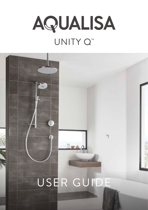

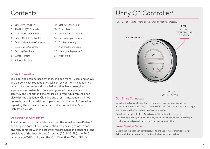### **Contents**

- 2 Safety Information
- 3 The Unity Q™ Controller
- 3 Get Smart Connected
- 4 Single Outlet Controller
- Dual Outlet (divert) Controller
- 6 Bath Outlet Controller
- Setting Flow Rate
- 8 Wired Remote
- 9 Adjustable Head
- 10 Bath Overflow Filler
- 10 Fixed Head
- 11 Connecting to the App
- 14 Caring for your Shower
- 15 Troubleshooting
- 19 App troubleshooting
- 20 Have you Registered?
- 21 Need Help?

#### Safety Information

This appliance can be used by children aged from 3 years and above and persons with reduced physical, sensory or mental capabilities or lack of experience and knowledge if they have been given supervision or instruction concerning use of the appliance in a safe way and understand the hazards involved. Children shall not play with the appliance. Cleaning and user maintenance shall not be made by children without supervision. For further information regarding the installation of your product, refer to the Smart Installation Guide.

#### Declaration of Conformity

Aqualisa Products Limited declares that the Aqualisa SmartValve<sup>™</sup> and supplied controller, in conjunction with pairing remotes and diverter, complies with the essential requirements and other relevant provisions of the Low Voltage Directive (2014/35/EU), the EMC Directive (2014/30/EU) and the RED Directive (2014/53/EU).

# Unity Q<sup>™</sup> Controller\*

\*Dual Outlet (divert) controller shown for illustrative purposes.



#### Get Smart Connected

Unlock the potential of your shower; from water consumption analysis to enhanced user functions. Keep up to date with latest features for the Aqualisa app and voice activation by visiting the Aqualisa website.

Download and open the free Aqualisa app. Find instructions on page 11 "Connecting to the App". If you have any trouble downloading the Aqualisa app, check www.aqualisa.co.uk/smartapp for device compatibility.

#### Smart Speaker Set up

Once the above has been completed, go to the app for your smart speaker and follow their instructions to add the Aqualisa home to your devices.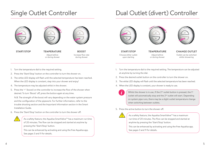### Single Outlet Controller







**START/STOP TEMPERATURE BOOST**

Adjust before or during shower

Increase flow rate during shower

### Dual Outlet (divert) Controller







Choose either outlet upon starting

Adjust before or during shower **START/STOP TEMPERATURE CHANGE OUTLET**

Outlet can be switched whilst showering

- 1. Turn the temperature dial to the required setting.
- 2. Press the 'Start/Stop' button on the controller to turn the shower on.
- 3. The white LED display will flash until the selected temperature has been reached. When the LED display is constant, step into your shower and enjoy!
- 4. The temperature may be adjusted whilst in the shower.
- 5. Press the '+' (boost) on the controller to increase the flow of the shower when desired. To turn 'Boost' off, press the button again at any time.

N.B. The strength of the boost will vary depending on the water system pressure and the configuration of the pipework. For further information, refer to the trouble shooting section and the Important Information section in the Smart Installation Guide.

6. Press the 'Start/Stop' button on the controller to turn the shower off.



As a safety feature, the Aqualisa SmartValve™ has a maximum run time of 20 minutes. The flow can be stopped and started at anytime by pressing the 'Start/Stop' button.

This can be enhanced by activating and using the free Aqualisa app. See pages 3 and 11 for details.

- 1. Turn the temperature dial to the required setting. The temperature can be adjusted at anytime by turning the dial.
- 2. Press the desired outlet button on the controller to turn the shower on.
- 3. The white LED display will flash until the selected temperature has been reached.
- 4. When the LED display is constant, your shower is ready to use.



Whilst the shower is in use, if the 2<sup>nd</sup> outlet button is pressed, the 1<sup>st</sup> outlet will automatically stop and the  $2<sup>nd</sup>$  outlet will start. Depending on system pipe runs, there may be a slight outlet temperature change when switching between outlets.

#### 5. Press the active button to turn the shower off.



As a safety feature, the Aqualisa SmartValve™ has a maximum run time of 20 minutes. The flow can be stopped and started at anytime by pressing the 'Start/Stop' button.

This can be enhanced by activating and using the free Aqualisa app. See pages 3 and 11 for details.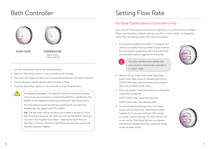### Bath Controller





**START/STOP TEMPERATURE**

Adjust before or during bath fill

- 1. Turn the temperature dial to the required setting.
- 2. Press the 'Start/Stop' button on the controller to fill the bath.
- 3. The white LED display will flash until the selected temperature has been achieved.
- 4. The temperature may be adjusted whilst the bath is filling.
- 5. Press the 'Start/Stop' button on the controller to stop filling the bath.

The Aqualisa SmartValve™for Unity Q™ bath has a maximum run time of 12 minutes as a precaution to prevent the bath from overflowing. The bathfill can be stopped at anytime by pressing the 'Start/Stop' button. This time setting can be reduced by activating and using the free Aqualisa app. See pages 3 and 11 for details.

**N.B.** The app timer setting will allow you to select a duration of more than 12 minutes; however, this does not override the default maximum run time of the Aqualisa SmartValve™, meaning the water flow will stop after 12 minutes. Should a longer fill time be required, contact the Aqualisa Customer Helpline.

# Setting Flow Rate

#### For Dual Outlet (divert) Controllers only

Your Unity Q™ dual outlet controller has a High flow or Low flow function available. Please note the factory default setting is Low flow on both outlets. To change the outlet flow rate settings, follow the instructions below.

1. Ensuring the Aqualisa SmartValve™ is powered, but without any outlets flowing, enable 'Setup' mode by first turning the temperature dial to full cold. Press and hold both buttons together for 5 seconds.



The LEDs will flash twice quickly and once slowly to indicate the controller is in 'Setup' mode.



- 2. When in 'Setup' mode, both outlet 'Start/Stop' button LEDs flash slowly to indicate flow is set to LOW FLOW mode. Quickly flashing LEDs indicate flow is set to HIGH FLOW mode.
- 3. Press the relevant 'Start/Stop' button to change the outlet flow as required.

HIGH FLOW mode - quick flashing LEDs

LOW FLOW mode - slow flashing LEDs

4. To save the desired settings and to exit 'Setup' mode, press and hold both 'Start/Stop' buttons together for 5 seconds until both LEDs remain on steady, without flashing. The LEDs will turn off as soon as the 'Start/Stop' buttons are released indicating all settings have been saved and 'Setup' mode has been exited.

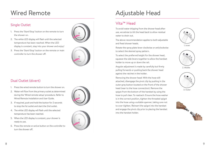# Wired Remote

#### Single Outlet

- 1. Press the 'Start/Stop' button on the remote to turn the shower on.
- 2. The white LED display will flash until the selected temperature has been reached. When the LED display is constant, step into your shower and enjoy!
- 3. Press the 'Start/Stop' button on the remote or main controller to turn the shower off.



#### Dual Outlet (divert)

- 1. Press the wired remote button to turn the shower on.
- 2. Water will flow from the primary outlet as determined during the 'Wired remote setup' procedure. Refer to Wired Remote Installation and User Guide.
- 3. If required, push and hold the button for 2 seconds to stop the 1st outlet and start the 2nd outlet.
- 4. The white LED display will flash until the selected temperature has been reached.
- 5. When the LED display is constant, your shower is ready to use.
- 6. Press the remote or active button on the controller to turn the shower off.



 $(1)$  $\overline{41}$ 

### Adjustable Head

### Vita™ Head

To avoid water dripping from the shower head after use, we advise to tilt the head back to allow residual water to drain out.

The above recommendation applies to both adjustable and fixed shower heads.

Rotate the spray plate lever clockwise or anticlockwise to select the desired spray pattern.

To select the preferred height for the shower head, squeeze the side levers together to allow the handset holder to move up or down the rail.

Angular adjustment is made by carefully but firmly pulling forwards or pushing back the shower head against the ratchet in the holder.

Removing the shower head: With the hose still attached, disengage the pivot clip by pushing in the outer grey button located on the front of the shower head (near to the hose connection). Remove the spigot from the bottom of the handset by using the hose to pull clear. To reattach: Ensure the hose washer is in the correct position, tighten the threaded spigot into the hose using a suitable spanner, taking care not to over-tighten. Reinsert the spigot into the handset and engage the pivot clip prior to placing the handset into the handset holder.







2. Middle



3. Outer

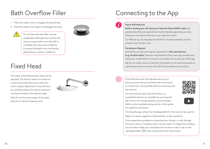### Bath Overflow Filler

- 1. Push the waste cover to engage the plug fitting.
- 2. Push the waste cover again to disengage the plug.



Do not leave the bath filler running unattended. Although the overflow will remove excess water once the bath is overfilled, this may not be sufficient to prevent the bath from overflowing (depending on system conditions).

### Fixed Head

The angle of the fixed shower head can be adjusted. The shower head is mounted on a multi directional ball joint to allow for minor angular adjustment in any direction by carefully holding the shower head and moving the head to the desired angle.



N.B. Do not force the angle of the head beyond its natural stopping point.

# Connecting to the App

#### **Home Wifi Network**

**Before starting you will need your Network Name (SSID code)** and password as they are required during the Aqualisa app setup journey. These can normally be found on your internet router.

For Wifi set up, the Aqualisa SmartValve™ must be powered, but the shower must not be in use.

#### **Permissions Request**

During the process you may be requested to **allow permissions (e.g. location data)**, these are requirements from your app provider and need your confirmation to ensure a successful set up and use of the app.

We do not retain, store or pass this information on to any third parties or use this permission to access the GPS functionality of your phone.



Download and open the Aqualisa app on your personal smart device and follow the instructions to create Your Home profile before continuing with this section.



An instructional video and information on compatible devices are available by scanning the QR code or by visiting aqualisa.co.uk/smartapp. Refer to the troubleshooting section of this guide



for guidance and advice.

The Aqualisa app utilises the Instabug platform; this tool can be used to:

Report an issue, suggest an improvement, or ask a question.

If you experience problems connecting your shower, or with the app functions, then an Instabug report can be raised. To trigger the Instabug service either shake your smartphone from side to side or tap on the message bubble  $\bullet\bullet\bullet$  then simply follow the instructions.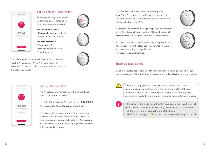

#### Set up Shower - Controller

Wifi setup can only be activated via the main controller and not via a remote (where installed).

**For shower controllers (2 buttons):** Press and hold the Top button for 6-8 seconds.

**For bath controllers (1 large button):**  Press and hold the button for 6-8 seconds.







The LEDs on the controller will flash rapidly to indicate that the Aqualisa SmartValve™ is searching for an available Wifi network. N.B. There is a 2-minute time out



#### Set up Shower - Wifi

The Aqualisa app will direct you to the Wifi settings menu on your mobile device.

From the list of available Networks select: **QSVC XXXX** The password is: **SmartShower** (case sensitive)

N.B. Depending on signal strength, the connection may take a few minutes. You do not need to wait for connection confirmation. Go back to the Aqualisa app and follow the steps, for these stages you will need your SSID code and password.

The LEDs will flash slowly to indicate the Aqualisa SmartValve™ is connected to the Aqualisa app and will switch to being solid to indicate a successful connection to your selected Home Wifi.



A successful connection message will provide confirmation in the Aqualisa app journey and the LEDs on the controller



If connection is unsuccessful a message will appear in your Aqualisa app. Redo the steps above or refer to Aqualisa app troubleshooting on page 19 or at

will turn off to indicate that the shower is ready for use.

#### Smart Speaker Set up

www.aqualisa.co.uk/smartapp.

if unable to connect. Once the Aqualisa app is set up and the shower connected, go to the app for your smart speaker and follow their instructions to add the Aqualisa home to your devices.



The Aqualisa app gives you the capability to operate your product remotely using your mobile device. It is the responsibility of the user to ensure that it is safe to remotely activate the water flow. Aqualisa recommend that baths and showers in operation are not left unattended.



If the timer setting is adjusted within the Aqualisa app, then the shower will run for the newly set duration, overriding the default maximum run time. N.B. The water flow will stop at the end of the timer. IMPORTANT: see page 6 " $\triangle$ " for special notes regarding Unity Q<sup>-M</sup> bathfill.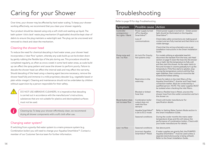# Caring for your Shower

Over time, your shower may be affected by hard water scaling. To keep your shower working effectively, we recommend that you clean your shower regularly.

Your product should be cleaned using only a soft cloth and washing up liquid. The bath system 'click clack' waste plug mechanism (if applicable) should be kept clear of debris to ensure the plug maintains a watertight seal. The plug can be unscrewed and removed to check and clean the mechanism.

#### Cleaning the shower head

To reduce the need for chemical descaling in hard water areas, your shower head incorporates a 'clear flow' system, whereby any scale build up can be broken down by gently rubbing the flexible tips of the jets during use. This procedure should be completed regularly, as often as once a week in some hard water areas, as scale build up can affect the spray pattern and cause the shower to perform poorly. Failure to descale the shower head can affect the internal seals and may affect the warranty. Should descaling of the head using a cleaning agent become necessary, remove the shower head fully and immerse in a mild proprietary descaler (e.g. vegetable based or plain white vinegar). Cleaning and maintenance should not be undertaken by children without supervision by a person responsible for their safety.

DO NOT USE ABRASIVE CLEANERS. It is imperative that descaling is carried out in accordance with the manufacturer's instructions, substances that are not suitable for plastics and electroplated surfaces must not be used.

Cleaning tip: To keep your shower effortlessly clean, we recommend drying all shower components with a soft cloth after use.

#### Changing water system?

If switching from a gravity-fed water system to a mains pressure system (e.g. Combination boiler) you will need to change your Aqualisa SmartValve™. Contact a member of our Customer Service team for further information.

### Troubleshooting

Refer to page 19 for App Troubleshooting.

| Symptom                                           | Possible cause                                                   | Action                                                                                                                                                                                                                                                                                                                                                                                                                                                                                                     |
|---------------------------------------------------|------------------------------------------------------------------|------------------------------------------------------------------------------------------------------------------------------------------------------------------------------------------------------------------------------------------------------------------------------------------------------------------------------------------------------------------------------------------------------------------------------------------------------------------------------------------------------------|
| Controller<br>unresponsive -<br>No Lights / Blank | Power supply turned<br>off to Aqualisa<br>SmartValve™            | Check power supply is turned on - Green power<br>light should be illuminated on the Aqualisa<br>SmartValve™.                                                                                                                                                                                                                                                                                                                                                                                               |
|                                                   | Loss of<br>communications                                        | Check data cable connections are making good<br>contact and are fully inserted and that there is no<br>visible damage.                                                                                                                                                                                                                                                                                                                                                                                     |
|                                                   |                                                                  | Check that the wiring schematics are as per<br>installation instructions in the Smart Installation<br>Guide.                                                                                                                                                                                                                                                                                                                                                                                               |
| Pump noisy and<br>low / no flow                   | Air lock (for Gravity<br>fed systems only)                       | For models utilising an adjustable head kit;<br>disconnect the handset from the hose, see Head<br>section on page 9, lower the hose into the shower<br>tray or bath. Set the temperature to fully cold<br>and then start the shower. As the water starts to<br>flow and increase in volume gradually turn up the<br>temperature. If the flow starts to splutter, stop<br>moving the temperature control until the flow<br>again stabilises, then continue to move the dial<br>towards the hottest setting. |
|                                                   | Restriction in the<br>waterway                                   | Check for debris in the inlet filters of the<br>Aqualisa SmartValve™, diverter and Fixed Head<br>connection washer. Must be conducted by a<br>qualified person. NOTE: The water supplies MUST<br>be isolated when checking the inlet filters.                                                                                                                                                                                                                                                              |
|                                                   | Blocked or kinked<br>hose liner                                  | Where a flexible hose is fitted, unscrew the<br>shower hose from the outlet connection and turn<br>the shower on.                                                                                                                                                                                                                                                                                                                                                                                          |
| Boost button does<br>not increase flow            | Combination boiler<br>output does not<br>meet the flow<br>demand | Check with boiler manufacturer for<br>specification details.                                                                                                                                                                                                                                                                                                                                                                                                                                               |
|                                                   | Aqualisa SmartValve™<br>is set to ECO mode                       | Refer to Setting Water System Mode section in<br>the Smart Installation Guide.                                                                                                                                                                                                                                                                                                                                                                                                                             |
|                                                   | Seasonal conditions                                              | During the cooler months the mains water<br>temperature drops and this will reduce the<br>performance of combination boilers. Check with<br>your boiler manufacturer for details.                                                                                                                                                                                                                                                                                                                          |
| Low / no flow                                     | Seasonal conditions                                              | See above point.                                                                                                                                                                                                                                                                                                                                                                                                                                                                                           |
|                                                   | Incorrect Aqualisa<br>SmartValve™ fitted                         | If water supplies are gravity fed, the PUMPED<br>Aqualisa SmartValve <sup>™</sup> must be used (unless a<br>separate stand alone pump is being utilised).<br>Refer to the Smart Installation Guide.                                                                                                                                                                                                                                                                                                        |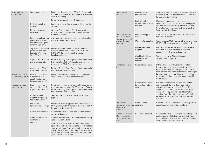| Low / no flow<br>(continued)               | Water supply issue                                                                                 | For Standard Aqualisa SmartValve™ - Ensure water<br>is turned fully on at the mains and at the servicing<br>valve in the supply.                                                                                                                                                            |
|--------------------------------------------|----------------------------------------------------------------------------------------------------|---------------------------------------------------------------------------------------------------------------------------------------------------------------------------------------------------------------------------------------------------------------------------------------------|
|                                            |                                                                                                    | Ensure isolation valves are fully open.                                                                                                                                                                                                                                                     |
|                                            | Restriction in the<br>waterway                                                                     | See same cause in 'Pump noisy and low / no flow'<br>symptom.                                                                                                                                                                                                                                |
|                                            | Blocked or kinked<br>hose liner                                                                    | Where a flexible hose is fitted, unscrew the<br>shower hose from the outlet connection and<br>turn the shower on.                                                                                                                                                                           |
|                                            | Incoming mains water<br>pressure or flow too<br>low (Standard Aqualisa<br>SmartValve™ only)        | After confirming that the filters are clear, check<br>with the local water authority.                                                                                                                                                                                                       |
|                                            | Separate, stand alone<br>pump not activating<br>(Standard Aqualisa<br>SmartValve™ only)            | Ensure sufficient flow to activate the flow<br>switches of the pump. Refer to IMPORTANT<br><b>INFORMATION</b> section in the Smart<br>Installation Guide.                                                                                                                                   |
|                                            | Aqualisa SmartValve™<br>pump not activating                                                        | Refer to Setting Water System Mode section in<br>the Smart Installation Guide. Ensure mode is set<br>to Normal or ECO Gravity setting.                                                                                                                                                      |
|                                            | Aqualisa SmartValve™<br>is set to ECO mode                                                         | Refer to Setting Water System Mode section in<br>the Smart Installation Guide.                                                                                                                                                                                                              |
| Unable to adjust or<br>control temperature | Reversed inlet water<br>supplies ( <i>i.e.</i> Hot<br>supply feeding cold<br>inlet and vice-versa) | Ensure correct water supply to specified inlet<br>connection of the Aqualisa SmartValve™.                                                                                                                                                                                                   |
| Fluctuating water<br>temperature           | Incorrect setting<br>on Logic Module of<br>Aqualisa SmartValve™                                    | If hot water supply is from a combination boiler-<br>the Logic module mode MUST be set to COMBI.<br>Refer to Setting Water System Mode section in<br>the Smart Installation Guide.                                                                                                          |
|                                            | Airlock in water<br>supplies (for gravity<br>fed systems only)                                     | See "Air lock" in Possible Cause section on<br>page 15.                                                                                                                                                                                                                                     |
|                                            | Hot water<br>temperature too high                                                                  | Ensure hot water supply temperature is below<br>65°C (minimum 55°C for stored water and 50°C<br>for combination boilers).                                                                                                                                                                   |
|                                            | Communications issue                                                                               | Check data cable connections and that there is<br>no visible damage.                                                                                                                                                                                                                        |
|                                            | Combination boiler<br>unable to meet<br>demand                                                     | Check if another outlet in the property is being<br>used at the same time.                                                                                                                                                                                                                  |
|                                            |                                                                                                    | Check that the hot water temperature is stable<br>at another high flowing outlet (e.g. bath hot tap<br>- run at maximum flow rate), additionally run a<br>cold outlet at 1/3 of a maximum flow rate. If the<br>same issue is evident on these outlets, contact<br>your boiler manufacturer. |

|  | Temperature<br>too low                                                                    | Low hot water<br>temperature                         | Check that domestic hot water temperature is<br>a minimum of 55°C for stored water and 50°C<br>for combination boilers.                                                                                                                                                                                                                       |
|--|-------------------------------------------------------------------------------------------|------------------------------------------------------|-----------------------------------------------------------------------------------------------------------------------------------------------------------------------------------------------------------------------------------------------------------------------------------------------------------------------------------------------|
|  |                                                                                           | Logic Module<br>temperature setting<br>too low       | Maximum temperature is set to a factory<br>default of 45°C. To adjust refer to the important<br>information section (Safety Information) and<br>Controller Commissioning Instructions in the<br>Smart Installation Guide.                                                                                                                     |
|  | Temperature too<br>low - Controller<br>temperature ready<br>display does not<br>stabilise | Hot water supply<br>issue                            | Check another hot water outlet to ensure that<br>hot water is available.                                                                                                                                                                                                                                                                      |
|  |                                                                                           | Mixed water supplies                                 | Water supplies MUST be from the same source:<br>MUST NOT be gravity hot and mains cold.                                                                                                                                                                                                                                                       |
|  |                                                                                           | Unbalanced water<br>supplies                         | For mains fed systems the cold and hot feeds<br>should be as evenly balanced as possible -<br>especially for HP unvented systems.                                                                                                                                                                                                             |
|  |                                                                                           | Combination boiler<br>unable to meet<br>demand       | See same cause in 'Fluctuating Water<br>Temperature' symptom.                                                                                                                                                                                                                                                                                 |
|  | Temperature too<br>hot                                                                    | Seasonal conditions                                  | In the warmer months, the mains water<br>temperature can rise to ambient level. The<br>Aqualisa SmartValve™ always blends a mix of<br>both hot and cold supplies therefore the output<br>temperature at fully cold (controller setting)<br>will always be higher than the incoming cold<br>water supply.                                      |
|  |                                                                                           | Seasonal conditions<br>(gravity fed systems<br>only) | For installations which utilise a cold water<br>storage supply (gravity fed system), the<br>ambient temperature in the loft can rise to<br>above 40°C. In turn, this warms the stored<br>water. Check by running a cold tap that is<br>supplied from the water storage. N.B. Kitchen<br>taps are normally fed from the mains water<br>system. |
|  | Maximum<br>temperature setting<br>is not to your<br>preference                            | Settings need<br>adjusting                           | Refer to section 'Temperature too low', possible<br>cause 'Logic module setting too low'.                                                                                                                                                                                                                                                     |
|  | Controller remains<br>illuminated after<br>switching shower<br>$\circ$ ff                 |                                                      | Poor cable connection  Check data cable connections are making good<br>contact and are fully inserted and that there<br>is no visible damage (this includes installations<br>where a wired remote is fitted).                                                                                                                                 |
|  |                                                                                           |                                                      |                                                                                                                                                                                                                                                                                                                                               |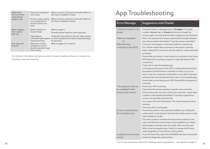| Water flows<br>from incorrect<br>outlet (divert | Pipe work configured<br>incorrectly                                                | Refer to section: Diverter Controller Matrix in<br>the Smart Installation Guide.                                 |
|-------------------------------------------------|------------------------------------------------------------------------------------|------------------------------------------------------------------------------------------------------------------|
| models only)                                    | Primary outlet setting<br>not configured (for<br>remote control use<br>only)       | Refer to section: Diverter Controller Matrix in<br>the Smart Installation Guide.                                 |
| Water dripping                                  | Water retention in<br>shower heads                                                 | Refer to page 9.                                                                                                 |
| from outlets<br>after use                       |                                                                                    | Descale shower heads to clear spray jets.                                                                        |
|                                                 | High pressure<br>(unvented) water system<br>requires servicing                     | Check the user quide for the hot water system<br>to verify symptoms and where required arrange<br>for servicing. |
| Flow shuts off<br>by itself                     | Maximum run time<br>exceeded or end of<br>duration reached in app<br>timer setting | Refer to pages 4, 5, 6 and 13.                                                                                   |

For further information and advice refer to Smart Installation Guide or contact the Aqualisa Customer Helpline.

### App Troubleshooting

| Error/Message                                           | <b>Suggestions and Checks</b>                                                                                                                                                                 |
|---------------------------------------------------------|-----------------------------------------------------------------------------------------------------------------------------------------------------------------------------------------------|
| "Could not connect to the<br>shower"                    | If a serial number is displayed, tap on Try Again. If no serial<br>number displayed tap on Cancel and then go through the<br>process again, ensuring that the below suggestions are followed. |
| "Network unavailable"<br>Or                             | Note: The setup process requires good signal strength between<br>your phone and the SmartValve™ (not the shower controller).                                                                  |
| Wifi drops when                                         | Close any running apps on the phone before commencing.                                                                                                                                        |
| connecting to the QSVC                                  | Turn off the mobile data connection in the phone's settings.                                                                                                                                  |
|                                                         | Select "Keep WiFi Connection with No Internet" where and when<br>promoted.                                                                                                                    |
|                                                         | Ensure that your phone / smart device is connected to the home<br>Wifi network (try running a program or app that requires Wifi<br>connection).                                               |
|                                                         | Close and re-open the Aqualisa app.                                                                                                                                                           |
|                                                         | In the app journey ensure that QSVC is being selected and that                                                                                                                                |
|                                                         | the password SmartShower is entered correctly-you do not                                                                                                                                      |
|                                                         | have to wait for connection confirmation, once QSVC has been                                                                                                                                  |
|                                                         | selected wait a few seconds and then return to the Aqualisa app.                                                                                                                              |
|                                                         | Ensure that you are keying your SSID (home Wifi) and password<br>correctly.                                                                                                                   |
| "The operation could not                                | Ensure your Wifi is working.                                                                                                                                                                  |
| be completed" (when                                     | Check that the shower operates using the main controller.                                                                                                                                     |
| trying to start shower)                                 | If the shower does not work via the main controller, check there<br>is power to the Aqualisa SmartValve™ (possibly tripped fuse /<br>circuit or accidentally switched off).                   |
|                                                         | Turn power off to the SmartValve™ for a few minutes and then<br>reinstate.                                                                                                                    |
|                                                         | Close any other running apps.                                                                                                                                                                 |
| <b>Primary Outlet Selection</b><br>(Divert Models only) | The primary outlet is set up during installation by utilising the<br>outlet switch on the diverter (see Diverter Outlet section in the<br>main Installation Guide).                           |
|                                                         | The switch position will determine the primary outlet for the                                                                                                                                 |
|                                                         | main controller and wired remote. Smart speakers (e.g. Alexa /                                                                                                                                |
|                                                         | Hey Google) will always start the outlet which was last used.                                                                                                                                 |
|                                                         | When using the Aqualisa App: Outlet A is always the Primary                                                                                                                                   |
|                                                         | outlet regardless of the diverter switch position.                                                                                                                                            |
| Locating the shower serial<br>number                    | From the Home Tab, select the SHOWERS tab, then choose the<br>shower to display the serial number.                                                                                            |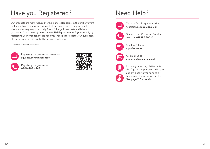# Have you Registered?

Our products are manufactured to the highest standards. In the unlikely event that something goes wrong, we want all our customers to be protected, which is why we give you a totally free of charge 1 year parts and labour guarantee\*. You can easily **increase your FREE guarantee to 5 years** simply by registering your product. Please keep your receipt to validate your guarantee. Please see our website for full terms and conditions.

\*Subject to terms and conditions



Register your guarantee instantly at **aqualisa.co.uk/guarantee** 



Register your guarantee **0800 408 4243**



# Need Help?



You can find Frequently Asked Questions at **aqualisa.co.uk**



Speak to our Customer Service team on **01959 560010**



Use Live Chat at **aqualisa.co.uk**



Or email us at **enquiries@aqualisa.co.uk**



Instabug reporting platform for the Aqualisa app. Accessed in the app by: Shaking your phone or tapping on the message bubble. **See page 11 for details**.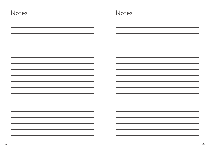| Notes | Notes |
|-------|-------|
|       |       |
|       |       |
|       |       |
|       |       |
|       |       |
|       |       |
|       |       |
|       |       |
|       |       |
|       |       |
|       |       |